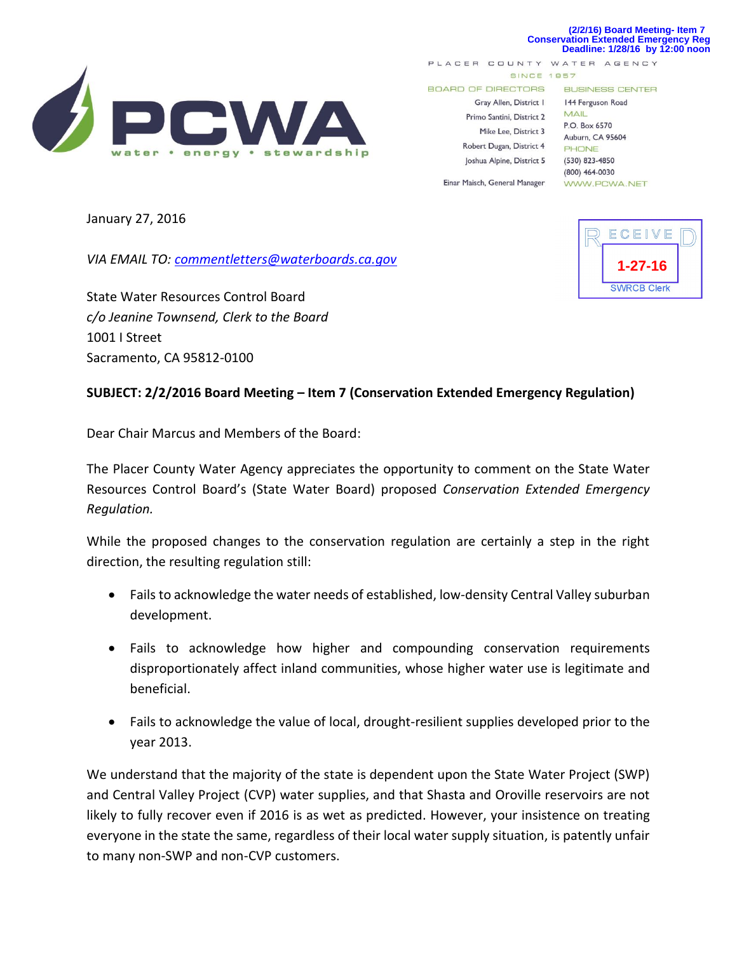## **(2/2/16) Board Meeting- Item 7 Conservation Extended Emergency Reg Deadline: 1/28/16 by 12:00 noon**



PLACER COUNTY WATER AGENCY **SINCE 1957** 

**BOARD OF DIRECTORS** 

Gray Allen, District I Primo Santini, District 2 Mike Lee, District 3 Robert Dugan, District 4 Joshua Alpine, District 5

Einar Maisch, General Manager

**BUSINESS CENTER** 

144 Ferguson Road MAIL P.O. Box 6570 Auburn, CA 95604 PHONE (530) 823-4850  $(800)$  464-0030 WWW.PCWA.NET

January 27, 2016

*VIA EMAIL TO: [commentletters@waterboards.ca.gov](mailto:commentletters@waterboards.ca.gov)*

State Water Resources Control Board *c/o Jeanine Townsend, Clerk to the Board* 1001 I Street Sacramento, CA 95812-0100

## **SUBJECT: 2/2/2016 Board Meeting – Item 7 (Conservation Extended Emergency Regulation)**

Dear Chair Marcus and Members of the Board:

The Placer County Water Agency appreciates the opportunity to comment on the State Water Resources Control Board's (State Water Board) proposed *Conservation Extended Emergency Regulation.* 

While the proposed changes to the conservation regulation are certainly a step in the right direction, the resulting regulation still:

- Fails to acknowledge the water needs of established, low-density Central Valley suburban development.
- Fails to acknowledge how higher and compounding conservation requirements disproportionately affect inland communities, whose higher water use is legitimate and beneficial.
- Fails to acknowledge the value of local, drought-resilient supplies developed prior to the year 2013.

We understand that the majority of the state is dependent upon the State Water Project (SWP) and Central Valley Project (CVP) water supplies, and that Shasta and Oroville reservoirs are not likely to fully recover even if 2016 is as wet as predicted. However, your insistence on treating everyone in the state the same, regardless of their local water supply situation, is patently unfair to many non-SWP and non-CVP customers.